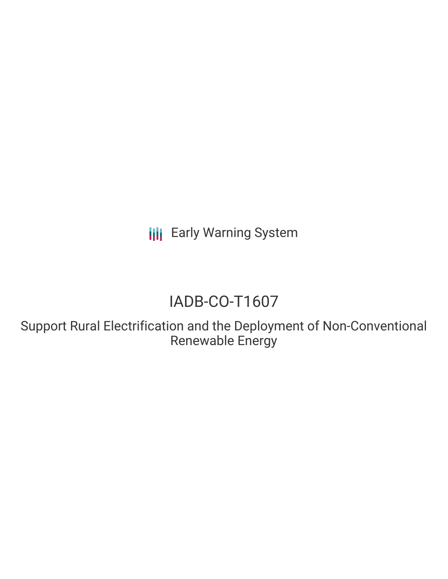**III** Early Warning System

# IADB-CO-T1607

Support Rural Electrification and the Deployment of Non-Conventional Renewable Energy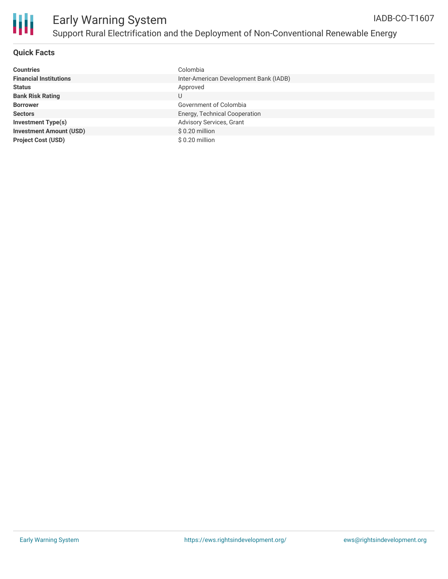

### **Quick Facts**

| <b>Countries</b>               | Colombia                               |
|--------------------------------|----------------------------------------|
| <b>Financial Institutions</b>  | Inter-American Development Bank (IADB) |
| <b>Status</b>                  | Approved                               |
| <b>Bank Risk Rating</b>        | U                                      |
| <b>Borrower</b>                | Government of Colombia                 |
| <b>Sectors</b>                 | Energy, Technical Cooperation          |
| <b>Investment Type(s)</b>      | Advisory Services, Grant               |
| <b>Investment Amount (USD)</b> | $$0.20$ million                        |
| <b>Project Cost (USD)</b>      | $$0.20$ million                        |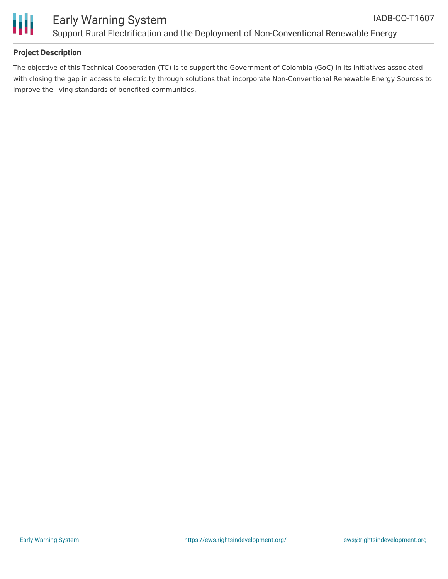



#### **Project Description**

The objective of this Technical Cooperation (TC) is to support the Government of Colombia (GoC) in its initiatives associated with closing the gap in access to electricity through solutions that incorporate Non-Conventional Renewable Energy Sources to improve the living standards of benefited communities.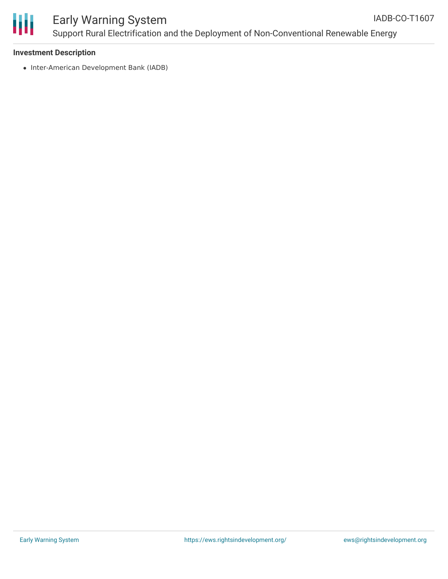

#### **Investment Description**

• Inter-American Development Bank (IADB)